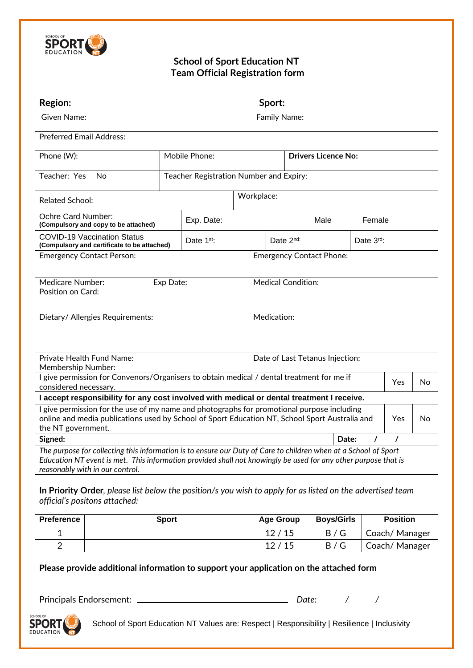

## **School of Sport Education NT Team Official Registration form**

| <b>Region:</b>                                                                                                                                                                                                                                                       | Sport:                                  |              |           |                                 |                            |                                 |          |          |    |  |
|----------------------------------------------------------------------------------------------------------------------------------------------------------------------------------------------------------------------------------------------------------------------|-----------------------------------------|--------------|-----------|---------------------------------|----------------------------|---------------------------------|----------|----------|----|--|
| <b>Given Name:</b>                                                                                                                                                                                                                                                   |                                         |              |           | Family Name:                    |                            |                                 |          |          |    |  |
| <b>Preferred Email Address:</b>                                                                                                                                                                                                                                      |                                         |              |           |                                 |                            |                                 |          |          |    |  |
| Phone (W):                                                                                                                                                                                                                                                           | Mobile Phone:                           |              |           |                                 | <b>Drivers Licence No:</b> |                                 |          |          |    |  |
| Teacher: Yes<br>No                                                                                                                                                                                                                                                   | Teacher Registration Number and Expiry: |              |           |                                 |                            |                                 |          |          |    |  |
| <b>Related School:</b>                                                                                                                                                                                                                                               | Workplace:                              |              |           |                                 |                            |                                 |          |          |    |  |
| Ochre Card Number:<br>(Compulsory and copy to be attached)                                                                                                                                                                                                           |                                         | Exp. Date:   |           |                                 | Male<br>Female             |                                 |          |          |    |  |
| <b>COVID-19 Vaccination Status</b><br>(Compulsory and certificate to be attached)                                                                                                                                                                                    |                                         | Date $1st$ : | Date 2nd: |                                 |                            | Date $3rd$ :                    |          |          |    |  |
| <b>Emergency Contact Person:</b>                                                                                                                                                                                                                                     |                                         |              |           |                                 |                            | <b>Emergency Contact Phone:</b> |          |          |    |  |
| <b>Medicare Number:</b><br>Exp Date:<br>Position on Card:                                                                                                                                                                                                            |                                         |              |           | <b>Medical Condition:</b>       |                            |                                 |          |          |    |  |
| Dietary/ Allergies Requirements:                                                                                                                                                                                                                                     |                                         |              |           |                                 | Medication:                |                                 |          |          |    |  |
| Private Health Fund Name:<br>Membership Number:                                                                                                                                                                                                                      |                                         |              |           | Date of Last Tetanus Injection: |                            |                                 |          |          |    |  |
| I give permission for Convenors/Organisers to obtain medical / dental treatment for me if<br>considered necessary.                                                                                                                                                   |                                         |              |           | Yes<br>No                       |                            |                                 |          |          |    |  |
| I accept responsibility for any cost involved with medical or dental treatment I receive.                                                                                                                                                                            |                                         |              |           |                                 |                            |                                 |          |          |    |  |
| I give permission for the use of my name and photographs for promotional purpose including<br>online and media publications used by School of Sport Education NT, School Sport Australia and<br>the NT government.                                                   |                                         |              |           |                                 |                            |                                 |          | Yes.     | No |  |
| Signed:                                                                                                                                                                                                                                                              |                                         |              |           |                                 |                            | Date:                           | $\prime$ | $\prime$ |    |  |
| The purpose for collecting this information is to ensure our Duty of Care to children when at a School of Sport<br>Education NT event is met. This information provided shall not knowingly be used for any other purpose that is<br>reasonably with in our control. |                                         |              |           |                                 |                            |                                 |          |          |    |  |

**In Priority Order***, please list below the position/s you wish to apply for as listed on the advertised team official's positons attached:*

| <b>Preference</b> | Sport | <b>Age Group</b> | <b>Boys/Girls</b> | <b>Position</b> |
|-------------------|-------|------------------|-------------------|-----------------|
|                   |       | 12/15            | B/G               | Coach/Manager   |
| ◠                 |       | 12/15            | B/G               | Coach/Manager   |

**Please provide additional information to support your application on the attached form**

Principals Endorsement: *Date: / /*

**SPORT** EDUCATION

School of Sport Education NT Values are: Respect | Responsibility | Resilience | Inclusivity